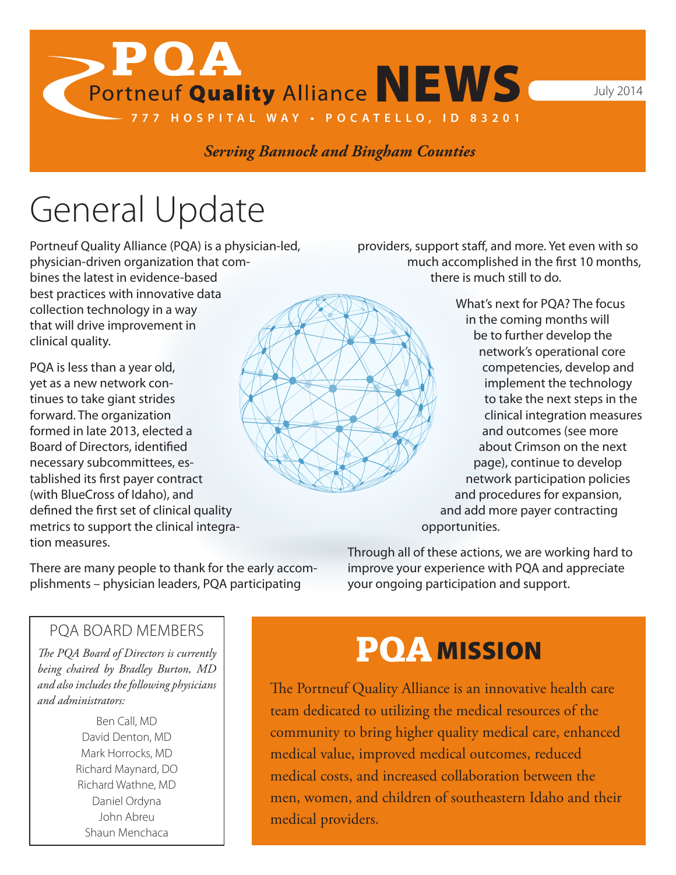Portneuf Quality Alliance NEWS

*Serving Bannock and Bingham Counties*

**777 HOSPITAL WAY • POCATELLO, ID 83201**

## General Update

 $\mathbf{>POA}$ 

Portneuf Quality Alliance (PQA) is a physician-led, physician-driven organization that combines the latest in evidence-based best practices with innovative data collection technology in a way that will drive improvement in clinical quality.

PQA is less than a year old, yet as a new network continues to take giant strides forward. The organization formed in late 2013, elected a Board of Directors, identified necessary subcommittees, established its first payer contract (with BlueCross of Idaho), and defined the first set of clinical quality metrics to support the clinical integration measures.

providers, support staff, and more. Yet even with so much accomplished in the first 10 months, there is much still to do.

> What's next for PQA? The focus in the coming months will be to further develop the network's operational core competencies, develop and implement the technology to take the next steps in the clinical integration measures and outcomes (see more about Crimson on the next page), continue to develop network participation policies and procedures for expansion, and add more payer contracting opportunities.

There are many people to thank for the early accomplishments – physician leaders, PQA participating

Through all of these actions, we are working hard to improve your experience with PQA and appreciate your ongoing participation and support.

### PQA BOARD MEMBERS

*The PQA Board of Directors is currently being chaired by Bradley Burton, MD and also includes the following physicians and administrators:*

> Ben Call, MD David Denton, MD Mark Horrocks, MD Richard Maynard, DO Richard Wathne, MD Daniel Ordyna John Abreu Shaun Menchaca

### **POA MISSION**

The Portneuf Quality Alliance is an innovative health care team dedicated to utilizing the medical resources of the community to bring higher quality medical care, enhanced medical value, improved medical outcomes, reduced medical costs, and increased collaboration between the men, women, and children of southeastern Idaho and their medical providers.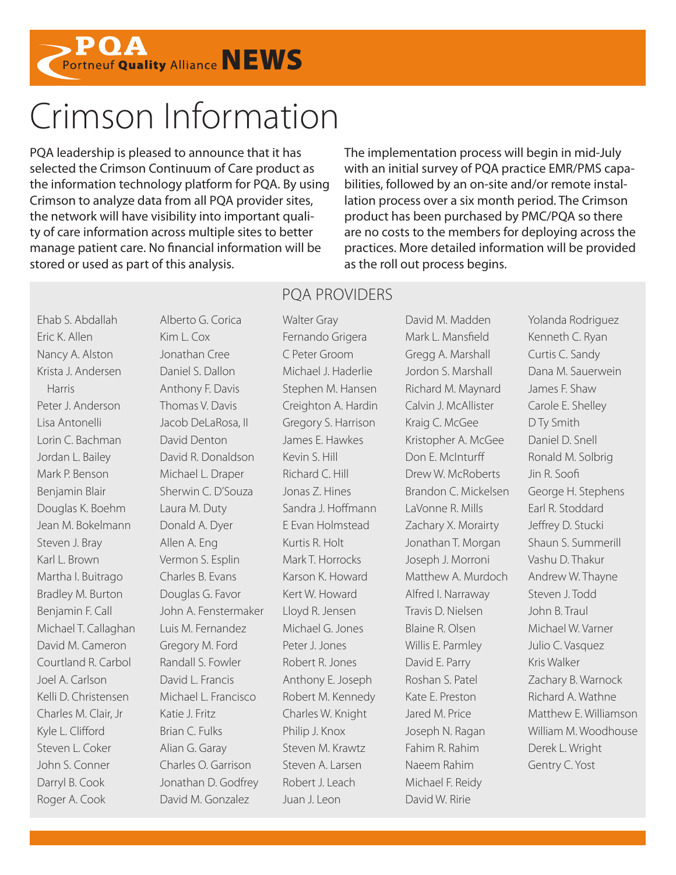

### Crimson Information

PQA leadership is pleased to announce that it has selected the Crimson Continuum of Care product as the information technology platform for PQA. By using Crimson to analyze data from all PQA provider sites, the network will have visibility into important quality of care information across multiple sites to better manage patient care. No financial information will be stored or used as part of this analysis.

The implementation process will begin in mid-July with an initial survey of PQA practice EMR/PMS capabilities, followed by an on-site and/or remote installation process over a six month period. The Crimson product has been purchased by PMC/PQA so there are no costs to the members for deploying across the practices. More detailed information will be provided as the roll out process begins.

Ehab S. Abdallah Eric K. Allen Nancy A. Alston Krista J. Andersen Harris Peter J. Anderson Lisa Antonelli Lorin C. Bachman Jordan L. Bailey Mark P. Benson Benjamin Blair Douglas K. Boehm Jean M. Bokelmann Steven J. Bray Karl L. Brown Martha I. Buitrago Bradley M. Burton Benjamin F. Call Michael T. Callaghan David M. Cameron Courtland R. Carbol Joel A. Carlson Kelli D. Christensen Charles M. Clair, Jr Kyle L. Clifford Steven L. Coker John S. Conner Darryl B. Cook Roger A. Cook

Alberto G. Corica Kim L. Cox Jonathan Cree Daniel S. Dallon Anthony F. Davis Thomas V. Davis Jacob DeLaRosa, II David Denton David R. Donaldson Michael L. Draper Sherwin C. D'Souza Laura M. Duty Donald A. Dyer Allen A. Eng Vermon S. Esplin Charles B. Evans Douglas G. Favor John A. Fenstermaker Luis M. Fernandez Gregory M. Ford Randall S. Fowler David L. Francis Michael L. Francisco Katie J. Fritz Brian C. Fulks Alian G. Garay Charles O. Garrison Jonathan D. Godfrey David M. Gonzalez

#### PQA PROVIDERS

Walter Gray Fernando Grigera C Peter Groom Michael J. Haderlie Stephen M. Hansen Creighton A. Hardin Gregory S. Harrison James E. Hawkes Kevin S. Hill Richard C. Hill Jonas Z. Hines Sandra J. Hoffmann E Evan Holmstead Kurtis R. Holt Mark T. Horrocks Karson K. Howard Kert W. Howard Lloyd R. Jensen Michael G. Jones Peter J. Jones Robert R. Jones Anthony E. Joseph Robert M. Kennedy Charles W. Knight Philip J. Knox Steven M. Krawtz Steven A. Larsen Robert J. Leach Juan J. Leon

David M. Madden Mark L. Mansfield Gregg A. Marshall Jordon S. Marshall Richard M. Maynard Calvin J. McAllister Kraig C. McGee Kristopher A. McGee Don E. McInturff Drew W. McRoberts Brandon C. Mickelsen LaVonne R. Mills Zachary X. Morairty Jonathan T. Morgan Joseph J. Morroni Matthew A. Murdoch Alfred I. Narraway Travis D. Nielsen Blaine R. Olsen Willis E. Parmley David E. Parry Roshan S. Patel Kate E. Preston Jared M. Price Joseph N. Ragan Fahim R. Rahim Naeem Rahim Michael F. Reidy David W. Ririe

Yolanda Rodriguez Kenneth C. Ryan Curtis C. Sandy Dana M. Sauerwein James F. Shaw Carole E. Shelley D Ty Smith Daniel D. Snell Ronald M. Solbrig Jin R. Soofi George H. Stephens Earl R. Stoddard Jeffrey D. Stucki Shaun S. Summerill Vashu D. Thakur Andrew W. Thayne Steven J. Todd John B. Traul Michael W. Varner Julio C. Vasquez Kris Walker Zachary B. Warnock Richard A. Wathne Matthew F. Williamson William M. Woodhouse Derek L. Wright Gentry C. Yost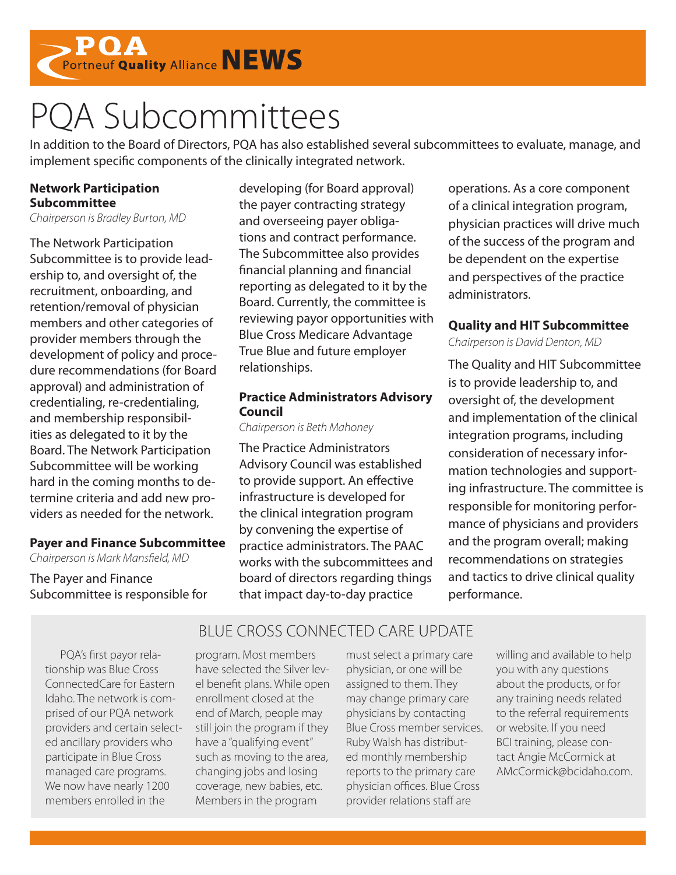

## PQA Subcommittees

In addition to the Board of Directors, PQA has also established several subcommittees to evaluate, manage, and implement specific components of the clinically integrated network.

#### **Network Participation Subcommittee**

*Chairperson is Bradley Burton, MD*

The Network Participation Subcommittee is to provide leadership to, and oversight of, the recruitment, onboarding, and retention/removal of physician members and other categories of provider members through the development of policy and procedure recommendations (for Board approval) and administration of credentialing, re-credentialing, and membership responsibilities as delegated to it by the Board. The Network Participation Subcommittee will be working hard in the coming months to determine criteria and add new providers as needed for the network.

#### **Payer and Finance Subcommittee**

*Chairperson is Mark Mansfield, MD* 

The Payer and Finance Subcommittee is responsible for developing (for Board approval) the payer contracting strategy and overseeing payer obligations and contract performance. The Subcommittee also provides financial planning and financial reporting as delegated to it by the Board. Currently, the committee is reviewing payor opportunities with Blue Cross Medicare Advantage True Blue and future employer relationships.

#### **Practice Administrators Advisory Council**

*Chairperson is Beth Mahoney* 

The Practice Administrators Advisory Council was established to provide support. An effective infrastructure is developed for the clinical integration program by convening the expertise of practice administrators. The PAAC works with the subcommittees and board of directors regarding things that impact day-to-day practice

BLUE CROSS CONNECTED CARE UPDATE

operations. As a core component of a clinical integration program, physician practices will drive much of the success of the program and be dependent on the expertise and perspectives of the practice administrators.

#### **Quality and HIT Subcommittee**

*Chairperson is David Denton, MD*

The Quality and HIT Subcommittee is to provide leadership to, and oversight of, the development and implementation of the clinical integration programs, including consideration of necessary information technologies and supporting infrastructure. The committee is responsible for monitoring performance of physicians and providers and the program overall; making recommendations on strategies and tactics to drive clinical quality performance.

PQA's first payor relationship was Blue Cross ConnectedCare for Eastern Idaho. The network is comprised of our PQA network providers and certain selected ancillary providers who participate in Blue Cross managed care programs. We now have nearly 1200 members enrolled in the

program. Most members have selected the Silver level benefit plans. While open enrollment closed at the end of March, people may still join the program if they have a "qualifying event" such as moving to the area, changing jobs and losing coverage, new babies, etc. Members in the program

must select a primary care physician, or one will be assigned to them. They may change primary care physicians by contacting Blue Cross member services. Ruby Walsh has distributed monthly membership reports to the primary care physician offices. Blue Cross provider relations staff are

willing and available to help you with any questions about the products, or for any training needs related to the referral requirements or website. If you need BCI training, please contact Angie McCormick at AMcCormick@bcidaho.com.